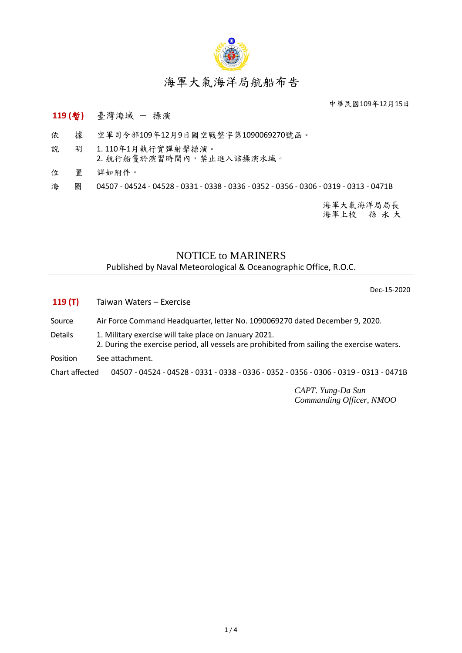

## 海軍大氣海洋局航船布告

中華民國109年12月15日

## **119 (**暫**)** 臺灣海域 - 操演

- 依 據 空軍司令部109年12月9日國空戰整字第1090069270號函。
- 說 明 1. 110年1月執行實彈射擊操演。 2. 航行船隻於演習時間內,禁止進入該操演水域。
- 位 置 詳如附件。

海 圖 04507 - 04524 - 04528 - 0331 - 0338 - 0336 - 0352 - 0356 - 0306 - 0319 - 0313 - 0471B

海軍大氣海洋局局長 海軍上校 孫 永 大

## NOTICE to MARINERS

Published by Naval Meteorological & Oceanographic Office, R.O.C.

Dec-15-2020

- **119 (T)** Taiwan Waters Exercise
- Source Air Force Command Headquarter, letter No. 1090069270 dated December 9, 2020.
- Details 1. Military exercise will take place on January 2021.
	- 2. During the exercise period, all vessels are prohibited from sailing the exercise waters.
- Position See attachment.

Chart affected 04507 - 04524 - 04528 - 0331 - 0338 - 0336 - 0352 - 0356 - 0306 - 0319 - 0313 - 0471B

*CAPT. Yung-Da Sun Commanding Officer, NMOO*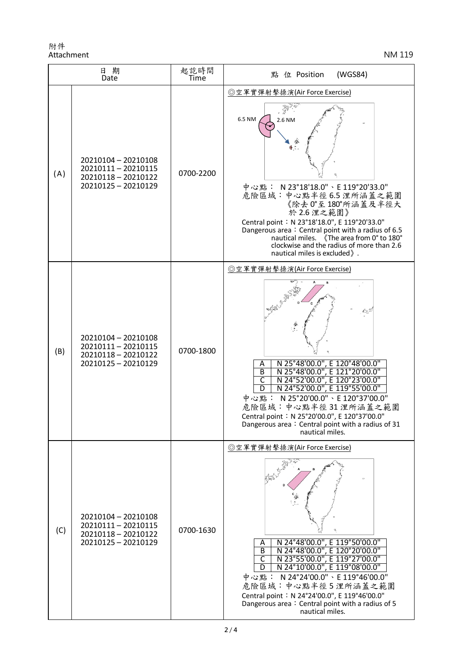附件 Attachment NM 119

| 日期<br>Date |                                                                                        | 起訖時間<br>Time | (WGS84)<br>點 位 Position                                                                                                                                                                                                                                                                                                                                                               |
|------------|----------------------------------------------------------------------------------------|--------------|---------------------------------------------------------------------------------------------------------------------------------------------------------------------------------------------------------------------------------------------------------------------------------------------------------------------------------------------------------------------------------------|
| (A)        | 20210104 - 20210108<br>20210111-20210115<br>20210118 - 20210122<br>20210125 - 20210129 | 0700-2200    | ◎空軍實彈射擊操演(Air Force Exercise)<br>6.5 NM<br>2.6 NM<br>中心點: N 23°18'18.0"、E 119°20'33.0"<br>危險區域:中心點半徑6.5 浬所涵蓋之範圍<br>《除去 0°至180°所涵蓋及半徑大<br>於 2.6 浬之範圍》<br>Central point: N 23°18'18.0", E 119°20'33.0"<br>Dangerous area: Central point with a radius of 6.5<br>nautical miles. 《The area from 0° to 180°<br>clockwise and the radius of more than 2.6<br>nautical miles is excluded ). |
| (B)        | 20210104 - 20210108<br>20210111-20210115<br>20210118 - 20210122<br>20210125 - 20210129 | 0700-1800    | ◎空軍實彈射擊操演(Air Force Exercise)<br>N 25°48'00.0", E 120°48'00.0"<br>Α<br>N 25°48'00.0", E 121°20'00.0"<br>B<br>N 24°52'00.0", E 120°23'00.0"<br>N 24°52'00.0", E 119°55'00.0"<br>C<br>中心點: N 25°20'00.0"、E 120°37'00.0"<br>危險區域:中心點半徑31浬所涵蓋之範圍<br>Central point: N 25°20'00.0", E 120°37'00.0"<br>Dangerous area: Central point with a radius of 31<br>nautical miles.                  |
| (C)        | 20210104 - 20210108<br>20210111-20210115<br>20210118 - 20210122<br>20210125 - 20210129 | 0700-1630    | ◎空軍實彈射擊操演(Air Force Exercise)<br>N 24°48'00.0", E 119°50'00.0"<br>N 24°48'00.0", E 120°20'00.0"<br>Α<br>$\overline{B}$<br>N 23°55'00.0", E 119°27'00.0"<br>C<br>N 24°10'00.0", E 119°08'00.0"<br>D<br>中心點: N 24°24'00.0"、E 119°46'00.0"<br>危險區域:中心點半徑5浬所涵蓋之範圍<br>Central point: N 24°24'00.0", E 119°46'00.0"<br>Dangerous area: Central point with a radius of 5<br>nautical miles.  |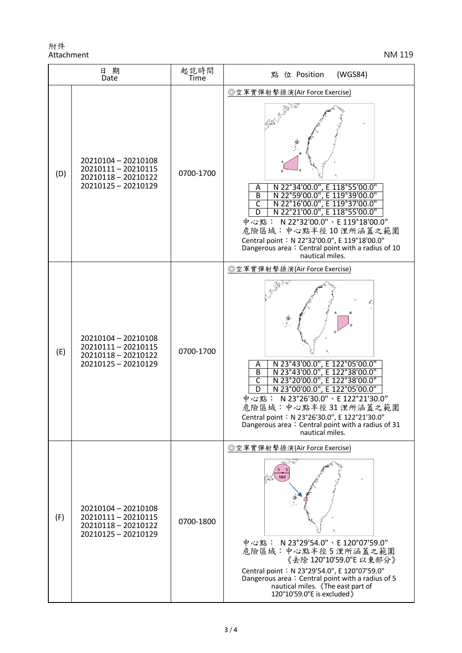附件 Attachment NM 119

| 日期<br>Date |                                                                                          | 起訖時間<br>Time | 點 位 Position<br>(WGS84)                                                                                                                                                                                                                                                                                                                                                                                            |
|------------|------------------------------------------------------------------------------------------|--------------|--------------------------------------------------------------------------------------------------------------------------------------------------------------------------------------------------------------------------------------------------------------------------------------------------------------------------------------------------------------------------------------------------------------------|
| (D)        | 20210104 - 20210108<br>20210111-20210115<br>20210118 - 20210122<br>20210125 - 20210129   | 0700-1700    | ◎空軍實彈射擊操演(Air Force Exercise)<br>N 22°34'00.0", E 118°55'00.0"<br>Α<br>$\overline{B}$<br>N 22°59'00.0", E 119°39'00.0"<br>N 22°16'00.0", E 119°37'00.0"<br>$\overline{\mathsf{C}}$<br>N 22°21'00.0", E 118°55'00.0"<br>D<br>中心點: N 22°32'00.0"、E 119°18'00.0"<br>危險區域:中心點半徑10浬所涵蓋之範圍<br>Central point: N 22°32'00.0", E 119°18'00.0"<br>Dangerous area: Central point with a radius of 10<br>nautical miles.       |
| (E)        | 20210104 - 20210108<br>20210111-20210115<br>20210118 - 20210122<br>20210125 - 20210129   | 0700-1700    | ◎空軍實彈射擊操演(Air Force Exercise)<br>N 23°43'00.0", E 122°05'00.0"<br>Α<br>$\overline{B}$<br>N 23°43'00.0", E 122°38'00.0"<br>$\overline{\mathsf{c}}$<br>N 23°20'00.0", E 122°38'00.0"<br>N 23°00'00.0", E 122°05'00.0"<br>D<br>N 23°26'30.0" \ E 122°21'30.0"<br>中心點:<br>危險區域:中心點半徑31 浬所涵蓋之範圍<br>Central point: N 23°26'30.0", E 122°21'30.0"<br>Dangerous area: Central point with a radius of 31<br>nautical miles. |
| (F)        | 20210104 - 20210108<br>20210111 - 20210115<br>20210118 - 20210122<br>20210125 - 20210129 | 0700-1800    | ◎空軍實彈射擊操演(Air Force Exercise)<br>中心點: N 23°29'54.0"、E 120°07'59.0"<br>危險區域:中心點半徑5浬所涵蓋之範圍<br>《去除 120°10'59.0"E 以東部分》<br>Central point: N 23°29'54.0", E 120°07'59.0"<br>Dangerous area: Central point with a radius of 5<br>nautical miles. 《The east part of<br>120°10'59.0"E is excluded >                                                                                                                        |